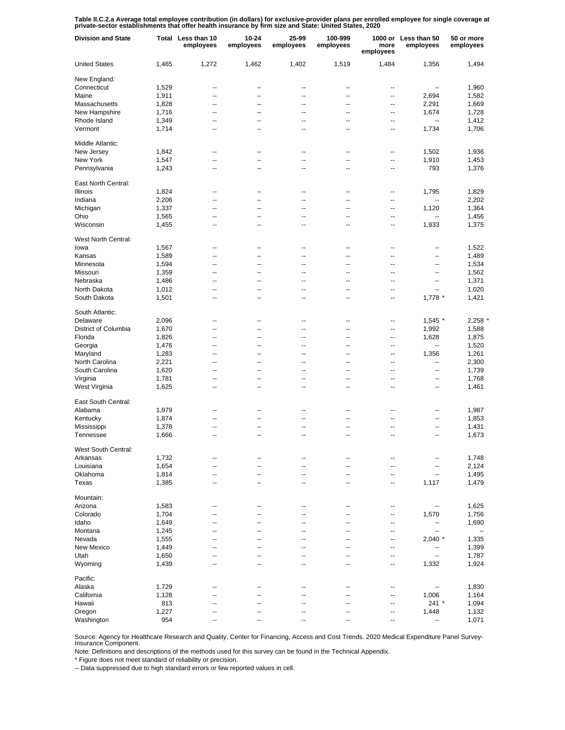Table II.C.2.a Average total employee contribution (in dollars) for exclusive-provider plans per enrolled employee for single coverage at<br>private-sector establishments that offer health insurance by firm size and State: Un

| <b>Division and State</b> |       | Total Less than 10<br>employees | 10-24<br>employees | 25-99<br>employees       | 100-999<br>employees | more<br>employees | 1000 or Less than 50<br>employees | 50 or more<br>employees  |
|---------------------------|-------|---------------------------------|--------------------|--------------------------|----------------------|-------------------|-----------------------------------|--------------------------|
| <b>United States</b>      | 1,465 | 1,272                           | 1,462              | 1,402                    | 1,519                | 1,484             | 1,356                             | 1,494                    |
| New England:              |       |                                 |                    |                          |                      |                   |                                   |                          |
| Connecticut               | 1,529 | --                              | --                 | --                       | --                   | --                | $\overline{\phantom{a}}$          | 1,960                    |
| Maine                     | 1,911 | --                              | $\overline{a}$     | $\overline{a}$           | $\overline{a}$       | --                | 2,694                             | 1,582                    |
| Massachusetts             | 1,828 | --                              | --                 | --                       | --                   | --                | 2,291                             | 1,669                    |
| New Hampshire             | 1,716 | --                              | --                 | --                       | --                   | --                | 1,674                             | 1,728                    |
| Rhode Island              | 1,349 | --                              | --                 | --                       | --                   | --                | $\overline{\phantom{a}}$          | 1,412                    |
| Vermont                   | 1,714 | --                              | --                 | --                       | --                   | --                | 1,734                             | 1,706                    |
| Middle Atlantic:          |       |                                 |                    |                          |                      |                   |                                   |                          |
| New Jersey                | 1,842 | $\overline{a}$                  | --                 | ٠.                       | --                   | --                | 1,502                             | 1,936                    |
| New York                  | 1,547 | Ξ.                              | Ξ.                 | Ξ.                       | Ξ.                   | --                | 1,910                             | 1,453                    |
| Pennsylvania              | 1,243 | --                              | Ξ.                 | Ξ.                       | --                   | --                | 793                               | 1,376                    |
| East North Central:       |       |                                 |                    |                          |                      |                   |                                   |                          |
| <b>Illinois</b>           | 1,824 | --                              | --                 | ٠.                       | --                   | --                | 1,795                             | 1,829                    |
| Indiana                   | 2,206 | --                              | --                 | ٠.                       | --                   | --                | --                                | 2,202                    |
| Michigan                  | 1,337 | --                              | --                 | --                       | --                   | ٠.                | 1,120                             | 1,364                    |
| Ohio                      | 1,565 | --                              | --                 | ٠.                       | --                   | --                |                                   | 1,456                    |
| Wisconsin                 | 1,455 | --                              | --                 | ٠.                       | --                   | --                | 1,933                             | 1,375                    |
| West North Central:       |       |                                 |                    |                          |                      |                   |                                   |                          |
| lowa                      | 1,567 | $\overline{a}$                  | $\overline{a}$     | $\overline{a}$           | --                   | --                | --                                | 1,522                    |
| Kansas                    | 1,589 | --                              | --                 | --                       | --                   | --                | --                                | 1,489                    |
| Minnesota                 | 1,594 | --                              | --                 | $\overline{a}$           | $\overline{a}$       | --                | --                                | 1,534                    |
| Missouri                  | 1,359 | --                              | --                 | --                       | --                   | --                | --                                | 1,562                    |
| Nebraska                  | 1,486 | --                              | --                 | --                       | --                   | --                | --                                | 1,371                    |
| North Dakota              | 1,012 | --                              | --                 | --                       | --                   | --                | $\overline{\phantom{a}}$          | 1,020                    |
| South Dakota              | 1,501 | --                              | --                 | --                       | --                   | --                | 1,778 *                           | 1,421                    |
| South Atlantic:           |       |                                 |                    |                          |                      |                   |                                   |                          |
| Delaware                  | 2,096 | --                              | --                 | --                       | --                   | --                | 1,545 *                           | 2,258                    |
| District of Columbia      | 1,670 | Ξ.                              | Ξ.                 | Ξ.                       | Ξ.                   | --                | 1,992                             | 1,588                    |
| Florida                   | 1,826 | Ξ.                              | Ξ.                 | Ξ.                       | Ξ.                   | --                | 1,628                             | 1,875                    |
| Georgia                   | 1,476 | Ξ.                              | Ξ.                 | Ξ.                       | $\overline{a}$       | --                | --                                | 1,520                    |
| Maryland                  | 1,283 | $\overline{a}$                  | --                 | $\overline{a}$           | $\overline{a}$       | ц.                | 1,356                             | 1,261                    |
| North Carolina            | 2,221 | $\overline{a}$                  | --                 | $\overline{a}$           | $\overline{a}$       | $\overline{a}$    | ц,                                | 2,300                    |
| South Carolina            | 1,620 | $\overline{a}$                  | --                 | $\overline{a}$           | $\overline{a}$       | $\overline{a}$    | --                                | 1,739                    |
| Virginia                  | 1,781 | --                              | --                 | ٠.                       | --                   | $\overline{a}$    | ٠.                                | 1,768                    |
| West Virginia             | 1,625 | --                              | --                 | ٠.                       | --                   | ц.                | ٠.                                | 1,461                    |
| East South Central:       |       |                                 |                    |                          |                      |                   |                                   |                          |
|                           |       |                                 |                    |                          |                      |                   |                                   |                          |
| Alabama                   | 1,979 | --                              | --                 | ٠.                       | --                   | ц.                | --                                | 1,987                    |
| Kentucky                  | 1,874 | --                              | --                 | ٠.                       | --                   | ٠.                | --                                | 1,853                    |
| Mississippi               | 1,378 | --                              | --                 | ٠.                       | --                   | ٠.                | --                                | 1,431                    |
| Tennessee                 | 1,666 | --                              | --                 | ٠.                       | --                   | ٠.                | --                                | 1,673                    |
| West South Central:       |       |                                 |                    |                          |                      |                   |                                   |                          |
| Arkansas                  | 1,732 | --                              | --                 | --                       | --                   | --                | --                                | 1,748                    |
| Louisiana                 | 1,654 | --                              | --                 | --                       | --                   | --                | ۰.                                | 2,124                    |
| Oklahoma                  | 1,814 | --                              | $\overline{a}$     | --                       | --                   | --                | $\overline{\phantom{a}}$          | 1,495                    |
| Texas                     | 1,385 | $\overline{\phantom{a}}$        | --                 | $\overline{\phantom{a}}$ | --                   | --                | 1,117                             | 1,479                    |
| Mountain:                 |       |                                 |                    |                          |                      |                   |                                   |                          |
| Arizona                   | 1,583 | --                              | --                 | ٠.                       | --                   | --                | --                                | 1,625                    |
| Colorado                  | 1,704 | $\overline{a}$                  | --                 | $\overline{a}$           | $\overline{a}$       | --                | 1,570                             | 1,756                    |
| Idaho                     | 1,649 | $\overline{a}$                  | --                 | $\overline{a}$           | $\overline{a}$       | --                | --                                | 1,690                    |
| Montana                   | 1,245 | $\overline{a}$                  | --                 | $\overline{a}$           | $\overline{a}$       | --                | --                                | $\overline{\phantom{a}}$ |
| Nevada                    | 1,555 | $\overline{a}$                  | --                 | $\overline{a}$           | $\overline{a}$       | --                | $2,040$ *                         | 1,335                    |
| New Mexico                | 1,449 | --                              | --                 | --                       | --                   | --                | --                                | 1,399                    |
| Utah                      | 1,650 | --                              | --                 | $\overline{a}$           | $\overline{a}$       | --                | --                                | 1,787                    |
| Wyoming                   | 1,439 | $\overline{a}$                  | --                 | $\overline{a}$           | $\overline{a}$       | --                | 1,332                             | 1,924                    |
| Pacific:                  |       |                                 |                    |                          |                      |                   |                                   |                          |
| Alaska                    | 1,729 | --                              | --                 | ٠.                       | --                   | --                | --                                | 1,830                    |
| California                |       | --                              | -−                 | ц.                       | ۵.                   | --                | 1,006                             |                          |
| Hawaii                    | 1,128 | --                              | --                 | ٠.                       | --                   |                   | $241 *$                           | 1,164                    |
|                           | 813   |                                 |                    |                          |                      | --                |                                   | 1,094                    |
| Oregon                    | 1,227 |                                 |                    |                          |                      | ٠.                | 1,448                             | 1,132                    |
| Washington                | 954   |                                 |                    |                          |                      | --                | --                                | 1,071                    |

Source: Agency for Healthcare Research and Quality, Center for Financing, Access and Cost Trends. 2020 Medical Expenditure Panel Survey-Insurance Component.

Note: Definitions and descriptions of the methods used for this survey can be found in the Technical Appendix.

\* Figure does not meet standard of reliability or precision.

-- Data suppressed due to high standard errors or few reported values in cell.